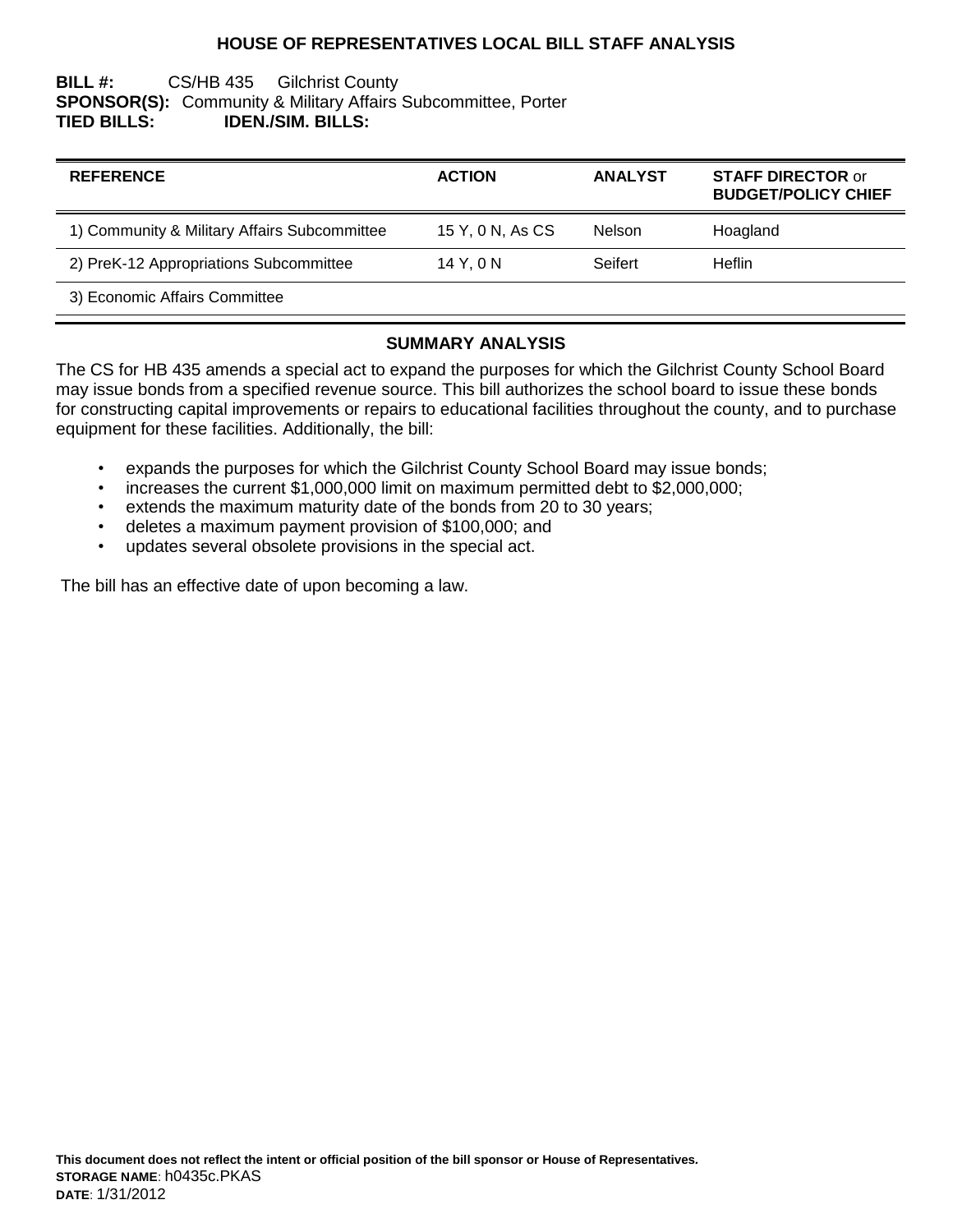## **HOUSE OF REPRESENTATIVES LOCAL BILL STAFF ANALYSIS**

## **BILL #:** CS/HB 435 Gilchrist County **SPONSOR(S):** Community & Military Affairs Subcommittee, Porter **TIED BILLS: IDEN./SIM. BILLS:**

| <b>REFERENCE</b>                             | <b>ACTION</b>    | <b>ANALYST</b> | <b>STAFF DIRECTOR or</b><br><b>BUDGET/POLICY CHIEF</b> |
|----------------------------------------------|------------------|----------------|--------------------------------------------------------|
| 1) Community & Military Affairs Subcommittee | 15 Y, 0 N, As CS | Nelson         | Hoagland                                               |
| 2) PreK-12 Appropriations Subcommittee       | 14 Y, 0 N        | Seifert        | <b>Heflin</b>                                          |
| 3) Economic Affairs Committee                |                  |                |                                                        |

#### **SUMMARY ANALYSIS**

The CS for HB 435 amends a special act to expand the purposes for which the Gilchrist County School Board may issue bonds from a specified revenue source. This bill authorizes the school board to issue these bonds for constructing capital improvements or repairs to educational facilities throughout the county, and to purchase equipment for these facilities. Additionally, the bill:

- expands the purposes for which the Gilchrist County School Board may issue bonds;
- increases the current \$1,000,000 limit on maximum permitted debt to \$2,000,000;
- extends the maximum maturity date of the bonds from 20 to 30 years;
- deletes a maximum payment provision of \$100,000; and
- updates several obsolete provisions in the special act.

The bill has an effective date of upon becoming a law.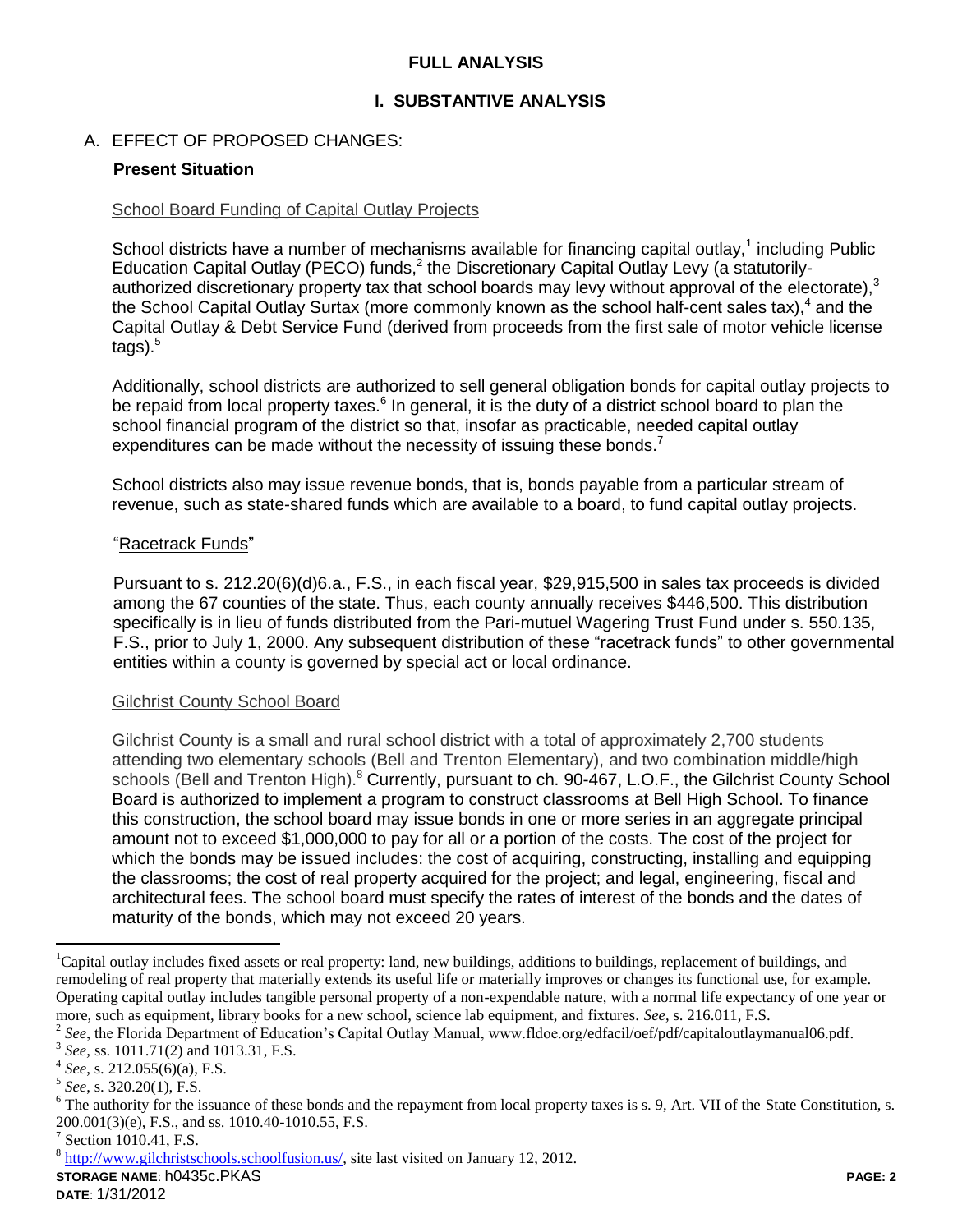## **FULL ANALYSIS**

## **I. SUBSTANTIVE ANALYSIS**

## A. EFFECT OF PROPOSED CHANGES:

### **Present Situation**

#### School Board Funding of Capital Outlay Projects

School districts have a number of mechanisms available for financing capital outlay,<sup>1</sup> including Public Education Capital Outlay (PECO) funds,<sup>2</sup> the Discretionary Capital Outlay Levy (a statutorilyauthorized discretionary property tax that school boards may levy without approval of the electorate), $3$ the School Capital Outlay Surtax (more commonly known as the school half-cent sales tax),<sup>4</sup> and the Capital Outlay & Debt Service Fund (derived from proceeds from the first sale of motor vehicle license  $t$ ags). $5$ 

Additionally, school districts are authorized to sell general obligation bonds for capital outlay projects to be repaid from local property taxes.<sup>6</sup> In general, it is the duty of a district school board to plan the school financial program of the district so that, insofar as practicable, needed capital outlay expenditures can be made without the necessity of issuing these bonds.<sup>7</sup>

School districts also may issue revenue bonds, that is, bonds payable from a particular stream of revenue, such as state-shared funds which are available to a board, to fund capital outlay projects.

#### "Racetrack Funds"

Pursuant to s. 212.20(6)(d)6.a., F.S., in each fiscal year, \$29,915,500 in sales tax proceeds is divided among the 67 counties of the state. Thus, each county annually receives \$446,500. This distribution specifically is in lieu of funds distributed from the Pari-mutuel Wagering Trust Fund under s. 550.135, F.S., prior to July 1, 2000. Any subsequent distribution of these "racetrack funds" to other governmental entities within a county is governed by special act or local ordinance.

#### Gilchrist County School Board

Gilchrist County is a small and rural school district with a total of approximately 2,700 students attending two elementary schools (Bell and Trenton Elementary), and two combination middle/high schools (Bell and Trenton High).<sup>8</sup> Currently, pursuant to ch. 90-467, L.O.F., the Gilchrist County School Board is authorized to implement a program to construct classrooms at Bell High School. To finance this construction, the school board may issue bonds in one or more series in an aggregate principal amount not to exceed \$1,000,000 to pay for all or a portion of the costs. The cost of the project for which the bonds may be issued includes: the cost of acquiring, constructing, installing and equipping the classrooms; the cost of real property acquired for the project; and legal, engineering, fiscal and architectural fees. The school board must specify the rates of interest of the bonds and the dates of maturity of the bonds, which may not exceed 20 years.

 $\overline{a}$ 

<sup>&</sup>lt;sup>1</sup>Capital outlay includes fixed assets or real property: land, new buildings, additions to buildings, replacement of buildings, and remodeling of real property that materially extends its useful life or materially improves or changes its functional use, for example. Operating capital outlay includes tangible personal property of a non-expendable nature, with a normal life expectancy of one year or more, such as equipment, library books for a new school, science lab equipment, and fixtures. *See*, s. 216.011, F.S.

<sup>&</sup>lt;sup>2</sup> See, the Florida Department of Education's Capital Outlay Manual, www.fldoe.org/edfacil/oef/pdf/capitaloutlaymanual06.pdf.

<sup>3</sup> *See,* ss. 1011.71(2) and 1013.31, F.S.

<sup>4</sup> *See*, s. 212.055(6)(a), F.S.

<sup>5</sup> *See*, s. 320.20(1), F.S.

 $6$  The authority for the issuance of these bonds and the repayment from local property taxes is s. 9, Art. VII of the State Constitution, s. 200.001(3)(e), F.S., and ss. 1010.40-1010.55, F.S.

<sup>&</sup>lt;sup>7</sup> Section 1010.41, F.S.

 $8 \frac{\text{http://www.gilchristschools.schoolfusion.us/}}{\text{http://www.gilchristschools.schoolfusion.us/}}$  site last visited on January 12, 2012.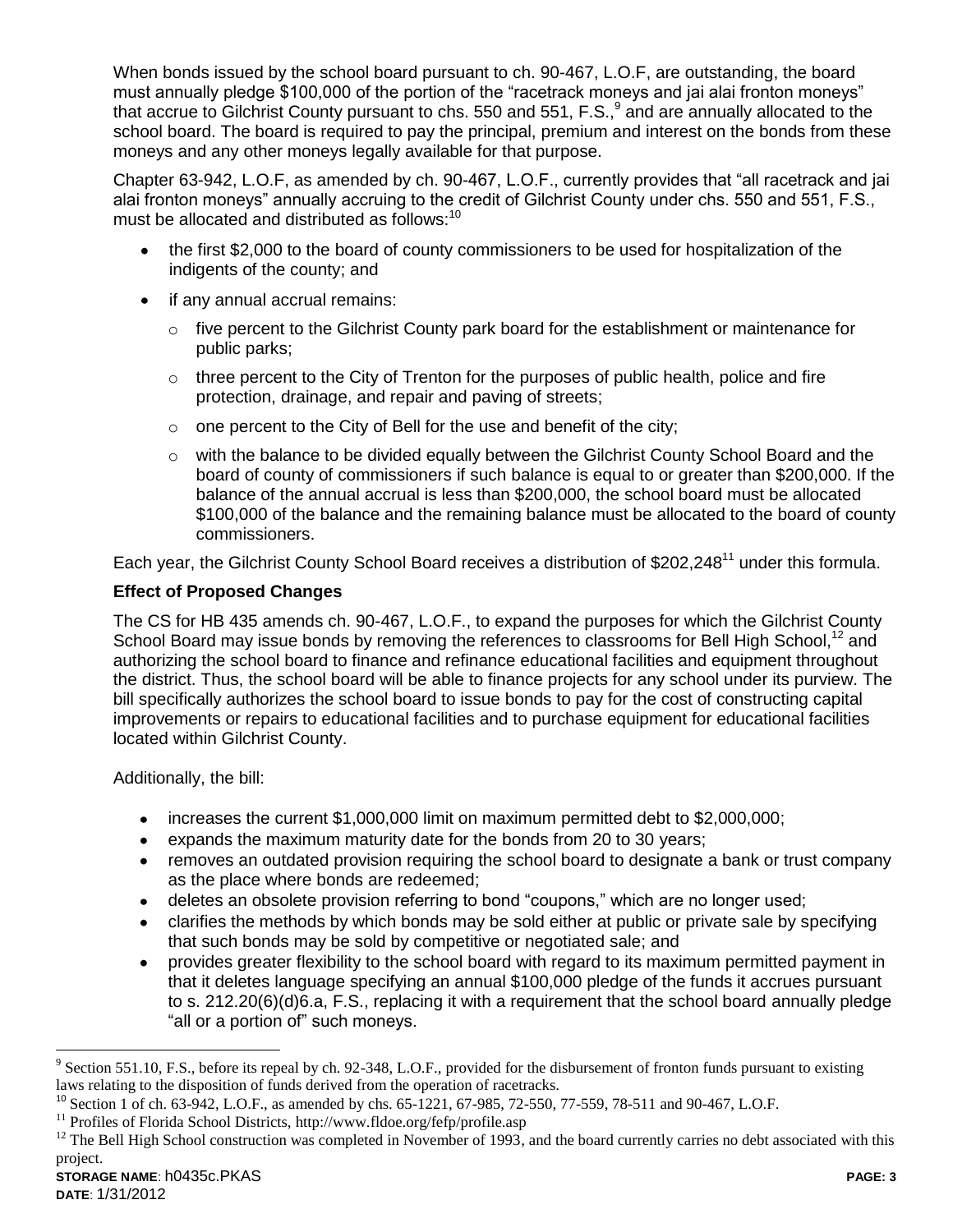When bonds issued by the school board pursuant to ch. 90-467, L.O.F, are outstanding, the board must annually pledge \$100,000 of the portion of the "racetrack moneys and jai alai fronton moneys" that accrue to Gilchrist County pursuant to chs. 550 and 551, F.S.,  $9$  and are annually allocated to the school board. The board is required to pay the principal, premium and interest on the bonds from these moneys and any other moneys legally available for that purpose.

Chapter 63-942, L.O.F, as amended by ch. 90-467, L.O.F., currently provides that "all racetrack and jai alai fronton moneys" annually accruing to the credit of Gilchrist County under chs. 550 and 551, F.S., must be allocated and distributed as follows:<sup>10</sup>

- the first \$2,000 to the board of county commissioners to be used for hospitalization of the indigents of the county; and
- if any annual accrual remains:
	- $\circ$  five percent to the Gilchrist County park board for the establishment or maintenance for public parks;
	- $\circ$  three percent to the City of Trenton for the purposes of public health, police and fire protection, drainage, and repair and paving of streets;
	- $\circ$  one percent to the City of Bell for the use and benefit of the city;
	- $\circ$  with the balance to be divided equally between the Gilchrist County School Board and the board of county of commissioners if such balance is equal to or greater than \$200,000. If the balance of the annual accrual is less than \$200,000, the school board must be allocated \$100,000 of the balance and the remaining balance must be allocated to the board of county commissioners.

Each year, the Gilchrist County School Board receives a distribution of \$202,248<sup>11</sup> under this formula.

# **Effect of Proposed Changes**

The CS for HB 435 amends ch. 90-467, L.O.F., to expand the purposes for which the Gilchrist County School Board may issue bonds by removing the references to classrooms for Bell High School,<sup>12</sup> and authorizing the school board to finance and refinance educational facilities and equipment throughout the district. Thus, the school board will be able to finance projects for any school under its purview. The bill specifically authorizes the school board to issue bonds to pay for the cost of constructing capital improvements or repairs to educational facilities and to purchase equipment for educational facilities located within Gilchrist County.

Additionally, the bill:

- increases the current \$1,000,000 limit on maximum permitted debt to \$2,000,000;
- expands the maximum maturity date for the bonds from 20 to 30 years;
- removes an outdated provision requiring the school board to designate a bank or trust company as the place where bonds are redeemed;
- deletes an obsolete provision referring to bond "coupons," which are no longer used;
- clarifies the methods by which bonds may be sold either at public or private sale by specifying that such bonds may be sold by competitive or negotiated sale; and
- provides greater flexibility to the school board with regard to its maximum permitted payment in  $\bullet$ that it deletes language specifying an annual \$100,000 pledge of the funds it accrues pursuant to s. 212.20(6)(d)6.a, F.S., replacing it with a requirement that the school board annually pledge "all or a portion of" such moneys.

 $\overline{a}$ 

 $9^9$  Section 551.10, F.S., before its repeal by ch. 92-348, L.O.F., provided for the disbursement of fronton funds pursuant to existing laws relating to the disposition of funds derived from the operation of racetracks.

<sup>&</sup>lt;sup>10</sup> Section 1 of ch. 63-942, L.O.F., as amended by chs. 65-1221, 67-985, 72-550, 77-559, 78-511 and 90-467, L.O.F.

 $^{11}$  Profiles of Florida School Districts, http://www.fldoe.org/fefp/profile.asp

 $12$  The Bell High School construction was completed in November of 1993, and the board currently carries no debt associated with this project.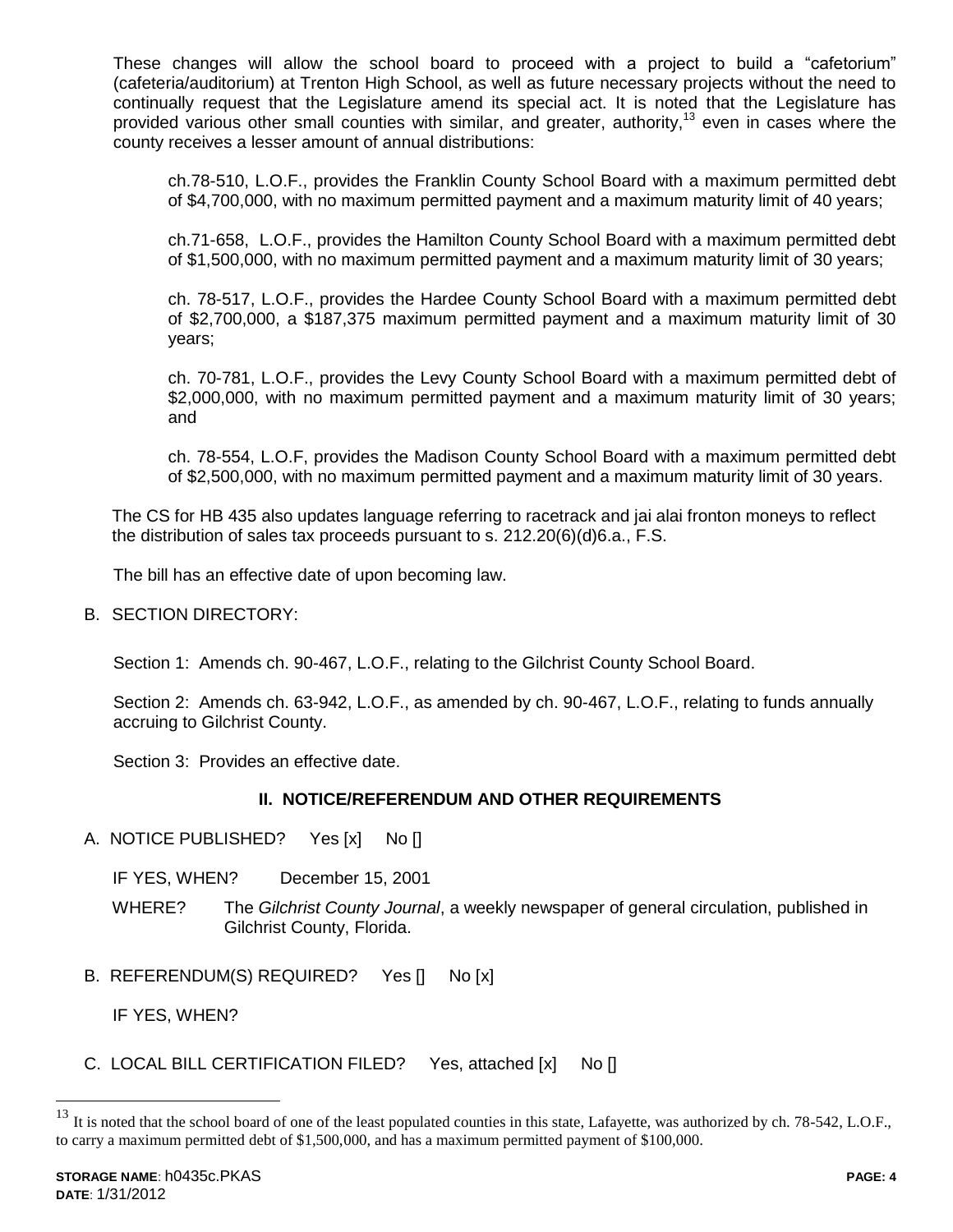These changes will allow the school board to proceed with a project to build a "cafetorium" (cafeteria/auditorium) at Trenton High School, as well as future necessary projects without the need to continually request that the Legislature amend its special act. It is noted that the Legislature has provided various other small counties with similar, and greater, authority,<sup>13</sup> even in cases where the county receives a lesser amount of annual distributions:

ch.78-510, L.O.F., provides the Franklin County School Board with a maximum permitted debt of \$4,700,000, with no maximum permitted payment and a maximum maturity limit of 40 years;

ch.71-658, L.O.F., provides the Hamilton County School Board with a maximum permitted debt of \$1,500,000, with no maximum permitted payment and a maximum maturity limit of 30 years;

ch. 78-517, L.O.F., provides the Hardee County School Board with a maximum permitted debt of \$2,700,000, a \$187,375 maximum permitted payment and a maximum maturity limit of 30 years;

ch. 70-781, L.O.F., provides the Levy County School Board with a maximum permitted debt of \$2,000,000, with no maximum permitted payment and a maximum maturity limit of 30 years; and

ch. 78-554, L.O.F, provides the Madison County School Board with a maximum permitted debt of \$2,500,000, with no maximum permitted payment and a maximum maturity limit of 30 years.

The CS for HB 435 also updates language referring to racetrack and jai alai fronton moneys to reflect the distribution of sales tax proceeds pursuant to s. 212.20(6)(d)6.a., F.S.

The bill has an effective date of upon becoming law.

B. SECTION DIRECTORY:

Section 1: Amends ch. 90-467, L.O.F., relating to the Gilchrist County School Board.

Section 2: Amends ch. 63-942, L.O.F., as amended by ch. 90-467, L.O.F., relating to funds annually accruing to Gilchrist County.

Section 3: Provides an effective date.

## **II. NOTICE/REFERENDUM AND OTHER REQUIREMENTS**

- A. NOTICE PUBLISHED? Yes [x] No []
	- IF YES, WHEN? December 15, 2001
	- WHERE? The *Gilchrist County Journal*, a weekly newspaper of general circulation, published in Gilchrist County, Florida.
- B. REFERENDUM(S) REQUIRED? Yes [] No [x]

IF YES, WHEN?

C. LOCAL BILL CERTIFICATION FILED? Yes, attached [x] No []

 $\overline{a}$ 

 $^{13}$  It is noted that the school board of one of the least populated counties in this state, Lafayette, was authorized by ch. 78-542, L.O.F., to carry a maximum permitted debt of \$1,500,000, and has a maximum permitted payment of \$100,000.